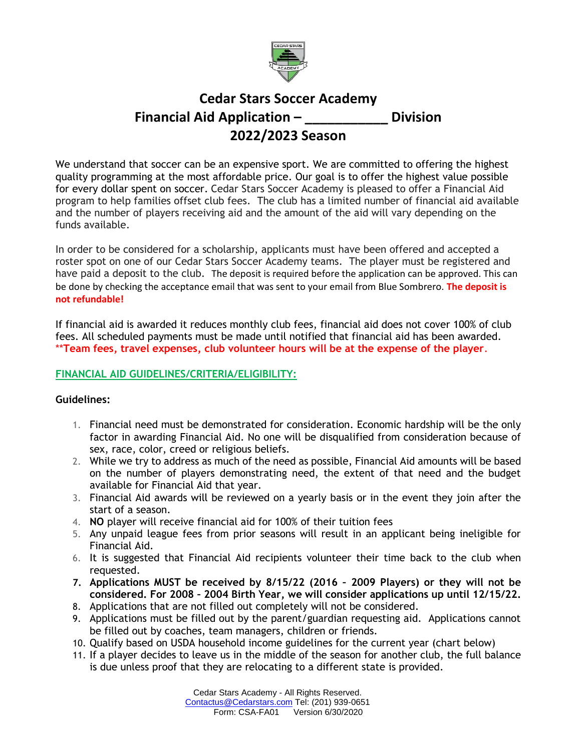

# **Cedar Stars Soccer Academy Financial Aid Application – \_\_\_\_\_\_\_\_\_\_\_ Division 2022/2023 Season**

We understand that soccer can be an expensive sport. We are committed to offering the highest quality programming at the most affordable price. Our goal is to offer the highest value possible for every dollar spent on soccer. Cedar Stars Soccer Academy is pleased to offer a Financial Aid program to help families offset club fees. The club has a limited number of financial aid available and the number of players receiving aid and the amount of the aid will vary depending on the funds available.

In order to be considered for a scholarship, applicants must have been offered and accepted a roster spot on one of our Cedar Stars Soccer Academy teams. The player must be registered and have paid a deposit to the club. The deposit is required before the application can be approved. This can be done by checking the acceptance email that was sent to your email from Blue Sombrero. **The deposit is not refundable!**

If financial aid is awarded it reduces monthly club fees, financial aid does not cover 100% of club fees. All scheduled payments must be made until notified that financial aid has been awarded. \*\***Team fees, travel expenses, club volunteer hours will be at the expense of the player**.

## **FINANCIAL AID GUIDELINES/CRITERIA/ELIGIBILITY:**

## **Guidelines:**

- 1. Financial need must be demonstrated for consideration. Economic hardship will be the only factor in awarding Financial Aid. No one will be disqualified from consideration because of sex, race, color, creed or religious beliefs.
- 2. While we try to address as much of the need as possible, Financial Aid amounts will be based on the number of players demonstrating need, the extent of that need and the budget available for Financial Aid that year.
- 3. Financial Aid awards will be reviewed on a yearly basis or in the event they join after the start of a season.
- 4. **NO** player will receive financial aid for 100% of their tuition fees
- 5. Any unpaid league fees from prior seasons will result in an applicant being ineligible for Financial Aid.
- 6. It is suggested that Financial Aid recipients volunteer their time back to the club when requested.
- **7. Applications MUST be received by 8/15/22 (2016 – 2009 Players) or they will not be considered. For 2008 – 2004 Birth Year, we will consider applications up until 12/15/22.**
- 8. Applications that are not filled out completely will not be considered.
- 9. Applications must be filled out by the parent/guardian requesting aid. Applications cannot be filled out by coaches, team managers, children or friends.
- 10. Qualify based on USDA household income guidelines for the current year (chart below)
- 11. If a player decides to leave us in the middle of the season for another club, the full balance is due unless proof that they are relocating to a different state is provided.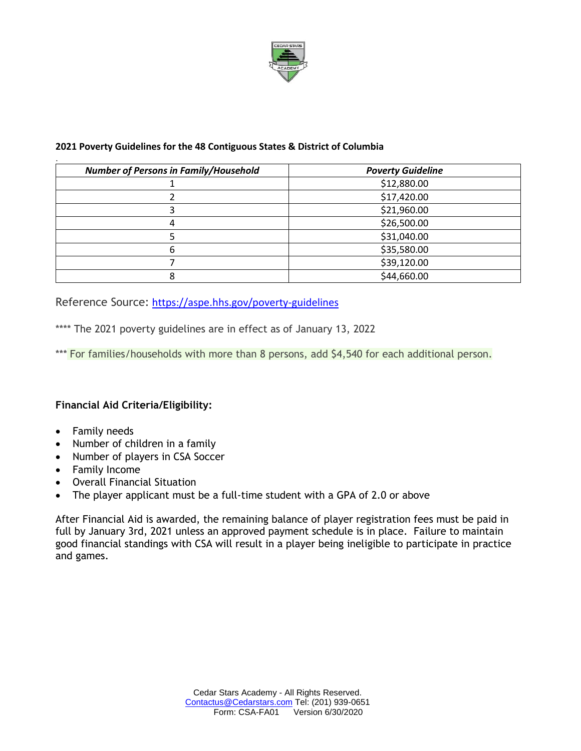

### **2021 Poverty Guidelines for the 48 Contiguous States & District of Columbia**

| <b>Number of Persons in Family/Household</b> | <b>Poverty Guideline</b> |
|----------------------------------------------|--------------------------|
|                                              | \$12,880.00              |
|                                              | \$17,420.00              |
|                                              | \$21,960.00              |
| 4                                            | \$26,500.00              |
|                                              | \$31,040.00              |
| 6                                            | \$35,580.00              |
|                                              | \$39,120.00              |
| 8                                            | \$44,660.00              |

Reference Source: <https://aspe.hhs.gov/poverty-guidelines>

\*\*\*\* The 2021 poverty guidelines are in effect as of January 13, 2022

\*\*\* For families/households with more than 8 persons, add \$4,540 for each additional person.

# **Financial Aid Criteria/Eligibility:**

- Family needs
- Number of children in a family
- Number of players in CSA Soccer
- Family Income
- Overall Financial Situation
- The player applicant must be a full-time student with a GPA of 2.0 or above

After Financial Aid is awarded, the remaining balance of player registration fees must be paid in full by January 3rd, 2021 unless an approved payment schedule is in place. Failure to maintain good financial standings with CSA will result in a player being ineligible to participate in practice and games.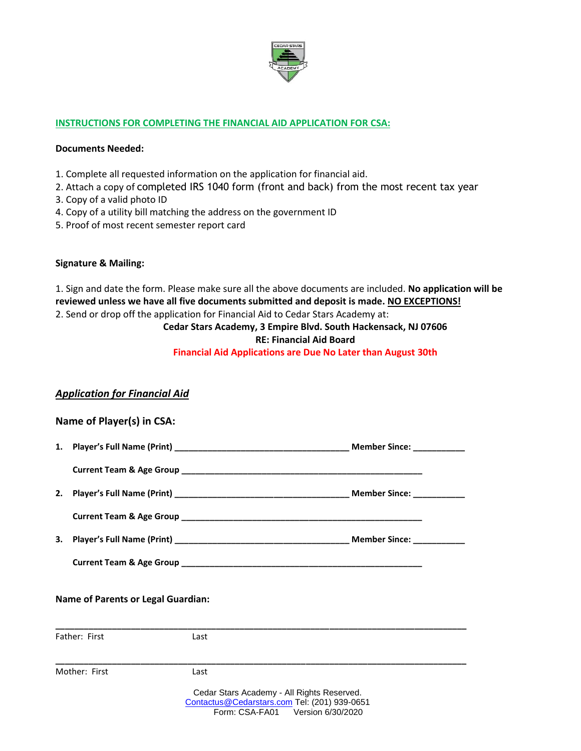

#### **INSTRUCTIONS FOR COMPLETING THE FINANCIAL AID APPLICATION FOR CSA:**

#### **Documents Needed:**

- 1. Complete all requested information on the application for financial aid.
- 2. Attach a copy of completed IRS 1040 form (front and back) from the most recent tax year
- 3. Copy of a valid photo ID
- 4. Copy of a utility bill matching the address on the government ID
- 5. Proof of most recent semester report card

#### **Signature & Mailing:**

1. Sign and date the form. Please make sure all the above documents are included. **No application will be reviewed unless we have all five documents submitted and deposit is made. NO EXCEPTIONS!** 2. Send or drop off the application for Financial Aid to Cedar Stars Academy at:

# **Cedar Stars Academy, 3 Empire Blvd. South Hackensack, NJ 07606 RE: Financial Aid Board**

**Financial Aid Applications are Due No Later than August 30th**

## *Application for Financial Aid*

| Name of Player(s) in CSA:                 |                                                                                                                                |  |
|-------------------------------------------|--------------------------------------------------------------------------------------------------------------------------------|--|
|                                           |                                                                                                                                |  |
|                                           |                                                                                                                                |  |
|                                           |                                                                                                                                |  |
|                                           |                                                                                                                                |  |
|                                           |                                                                                                                                |  |
|                                           |                                                                                                                                |  |
| <b>Name of Parents or Legal Guardian:</b> |                                                                                                                                |  |
| Father: First                             | Last                                                                                                                           |  |
| Mother: First                             | Last                                                                                                                           |  |
|                                           | Cedar Stars Academy - All Rights Reserved.<br>Contactus@Cedarstars.com Tel: (201) 939-0651<br>Form: CSA-FA01 Version 6/30/2020 |  |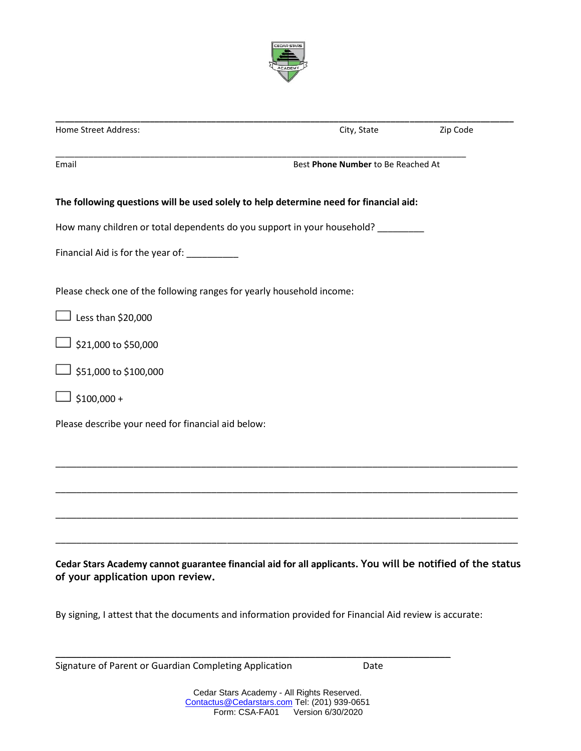

| Home Street Address:                                                                                                                          | City, State                        | Zip Code |  |
|-----------------------------------------------------------------------------------------------------------------------------------------------|------------------------------------|----------|--|
| Email                                                                                                                                         | Best Phone Number to Be Reached At |          |  |
| The following questions will be used solely to help determine need for financial aid:                                                         |                                    |          |  |
| How many children or total dependents do you support in your household?                                                                       |                                    |          |  |
| Financial Aid is for the year of: ___________                                                                                                 |                                    |          |  |
| Please check one of the following ranges for yearly household income:                                                                         |                                    |          |  |
| Less than \$20,000                                                                                                                            |                                    |          |  |
| \$21,000 to \$50,000                                                                                                                          |                                    |          |  |
| \$51,000 to \$100,000                                                                                                                         |                                    |          |  |
| $$100,000 +$                                                                                                                                  |                                    |          |  |
| Please describe your need for financial aid below:                                                                                            |                                    |          |  |
|                                                                                                                                               |                                    |          |  |
|                                                                                                                                               |                                    |          |  |
|                                                                                                                                               |                                    |          |  |
|                                                                                                                                               |                                    |          |  |
| Cedar Stars Academy cannot guarantee financial aid for all applicants. You will be notified of the status<br>of your application upon review. |                                    |          |  |

By signing, I attest that the documents and information provided for Financial Aid review is accurate:

\_\_\_\_\_\_\_\_\_\_\_\_\_\_\_\_\_\_\_\_\_\_\_\_\_\_\_\_\_\_\_\_\_\_\_\_\_\_\_\_\_\_\_\_\_\_\_\_\_\_\_\_\_\_\_\_\_\_\_\_\_\_\_\_\_\_\_\_\_\_\_\_\_\_\_\_

Signature of Parent or Guardian Completing Application Date